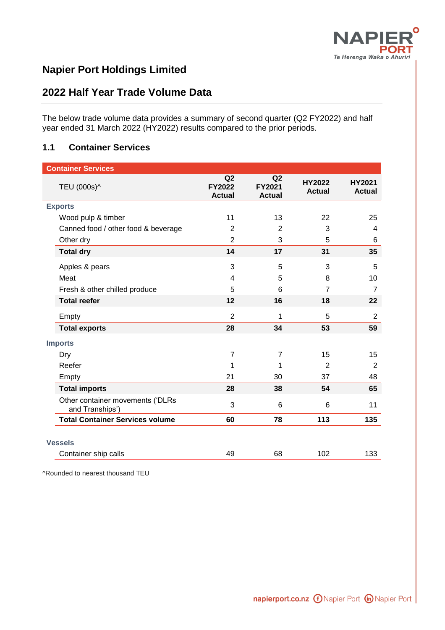

# **Napier Port Holdings Limited**

## **2022 Half Year Trade Volume Data**

The below trade volume data provides a summary of second quarter (Q2 FY2022) and half year ended 31 March 2022 (HY2022) results compared to the prior periods.

#### **1.1 Container Services**

| <b>Container Services</b> |                                                     |                                      |                                                  |                                |                                |
|---------------------------|-----------------------------------------------------|--------------------------------------|--------------------------------------------------|--------------------------------|--------------------------------|
|                           | TEU (000s)^                                         | Q2<br><b>FY2022</b><br><b>Actual</b> | Q <sub>2</sub><br><b>FY2021</b><br><b>Actual</b> | <b>HY2022</b><br><b>Actual</b> | <b>HY2021</b><br><b>Actual</b> |
| <b>Exports</b>            |                                                     |                                      |                                                  |                                |                                |
|                           | Wood pulp & timber                                  | 11                                   | 13                                               | 22                             | 25                             |
|                           | Canned food / other food & beverage                 | $\overline{2}$                       | $\overline{2}$                                   | 3                              | 4                              |
|                           | Other dry                                           | $\overline{2}$                       | 3                                                | 5                              | 6                              |
|                           | <b>Total dry</b>                                    | 14                                   | 17                                               | 31                             | 35                             |
|                           | Apples & pears                                      | 3                                    | 5                                                | 3                              | 5                              |
|                           | Meat                                                | 4                                    | 5                                                | 8                              | 10                             |
|                           | Fresh & other chilled produce                       | 5                                    | 6                                                | $\overline{7}$                 | $\overline{7}$                 |
|                           | <b>Total reefer</b>                                 | 12                                   | 16                                               | 18                             | 22                             |
|                           | Empty                                               | $\overline{2}$                       | 1                                                | 5                              | $\overline{2}$                 |
|                           | <b>Total exports</b>                                | 28                                   | 34                                               | 53                             | 59                             |
|                           | <b>Imports</b>                                      |                                      |                                                  |                                |                                |
|                           | Dry                                                 | $\overline{7}$                       | $\overline{7}$                                   | 15                             | 15                             |
|                           | Reefer                                              | 1                                    | 1                                                | $\overline{2}$                 | $\overline{2}$                 |
|                           | Empty                                               | 21                                   | 30                                               | 37                             | 48                             |
|                           | <b>Total imports</b>                                | 28                                   | 38                                               | 54                             | 65                             |
|                           | Other container movements ('DLRs<br>and Tranships') | 3                                    | 6                                                | 6                              | 11                             |
|                           | <b>Total Container Services volume</b>              | 60                                   | 78                                               | 113                            | 135                            |
|                           |                                                     |                                      |                                                  |                                |                                |
|                           | <b>Vessels</b>                                      |                                      |                                                  |                                |                                |
|                           | Container ship calls                                | 49                                   | 68                                               | 102                            | 133                            |

^Rounded to nearest thousand TEU